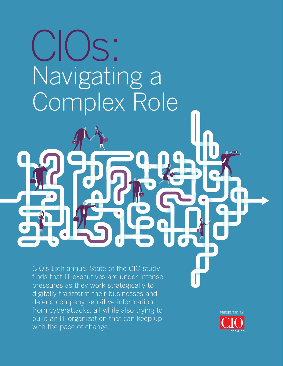# Navigating a Complex Role CIOs:

CIO's 15th annual State of the CIO study finds that IT executives are under intense pressures as they work strategically to digitally transform their businesses and defend company-sensitive information from cyberattacks, all while also trying to build an IT organization that can keep up with the pace of change.

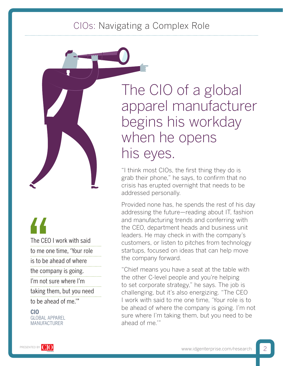# CIOs: Navigating a Complex Role

The CEO I work with said to me one time, 'Your role is to be ahead of where the company is going. I'm not sure where I'm taking them, but you need to be ahead of me.'" The CEO<br>
to me on<br>
is to be a<br>
the comparison

**CIO** GLOBAL APPAREL MANUFACTURER

The CIO of a global apparel manufacturer begins his workday when he opens his eyes.

"I think most CIOs, the first thing they do is grab their phone," he says, to confirm that no crisis has erupted overnight that needs to be addressed personally.

Provided none has, he spends the rest of his day addressing the future—reading about IT, fashion and manufacturing trends and conferring with the CEO, department heads and business unit leaders. He may check in with the company's customers, or listen to pitches from technology startups, focused on ideas that can help move the company forward.

"Chief means you have a seat at the table with the other C-level people and you're helping to set corporate strategy," he says. The job is challenging, but it's also energizing. "The CEO I work with said to me one time, 'Your role is to be ahead of where the company is going. I'm not sure where I'm taking them, but you need to be ahead of me.'"

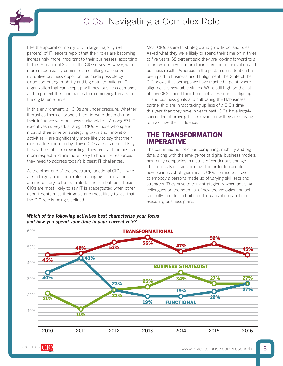

Like the apparel company CIO, a large majority (84 percent) of IT leaders report that their roles are becoming increasingly more important to their businesses, according to the 15th annual State of the CIO survey. However, with more responsibility comes fresh challenges: to seize disruptive business opportunities made possible by cloud computing, mobility and big data; to build an IT organization that can keep up with new business demands; and to protect their companies from emerging threats to the digital enterprise.

In this environment, all CIOs are under pressure. Whether it crushes them or propels them forward depends upon their influence with business stakeholders. Among 571 IT executives surveyed, strategic CIOs – those who spend most of their time on strategy, growth and innovation activities – are significantly more likely to say that their role matters more today. These CIOs are also most likely to say their jobs are rewarding. They are paid the best, get more respect and are more likely to have the resources they need to address today's biggest IT challenges.

At the other end of the spectrum, functional CIOs – who are in largely traditional roles managing IT operations – are more likely to be frustrated, if not embattled. These CIOs are most likely to say IT is scapegoated when other departments miss their goals and most likely to feel that the CIO role is being sidelined.

Most CIOs aspire to strategic and growth-focused roles. Asked what they were likely to spend their time on in three to five years, 68 percent said they are looking forward to a future when they can turn their attention to innovation and business results. Whereas in the past, much attention has been paid to business and IT alignment, the State of the CIO shows that perhaps we have reached a point where alignment is now table stakes. While still high on the list of how CIOs spend their time, activities such as aligning IT and business goals and cultivating the IT/business partnership are in fact taking up less of a CIO's time this year than they have in years past. CIOs have largely succeeded at proving IT is relevant; now they are striving to maximize their influence.

# THE TRANSFORMATION IMPERATIVE

The continued pull of cloud computing, mobility and big data, along with the emergence of digital business models, has many companies in a state of continuous change. The necessity of transforming IT in order to execute new business strategies means CIOs themselves have to embody a persona made up of varying skill sets and strengths. They have to think strategically when advising colleagues on the potential of new technologies and act tactically in order to build an IT organization capable of executing business plans.



#### *Which of the following activities best characterize your focus and how you spend your time in your current role?*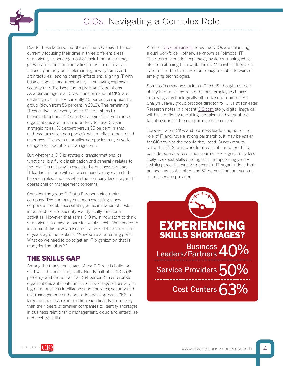

Due to these factors, the State of the CIO sees IT heads currently focusing their time in three different areas: strategically - spending most of their time on strategy, growth and innovation activities; transformationally – focused primarily on implementing new systems and architectures, leading change efforts and aligning IT with business goals; and functionally – managing expenses, security and IT crises, and improving IT operations. As a percentage of all CIOs, transformational CIOs are declining over time – currently 45 percent comprise this group (down from 56 percent in 2013). The remaining IT executives are evenly split (27 percent each) between functional CIOs and strategic CIOs. Enterprise organizations are much more likely to have CIOs in strategic roles (31 percent versus 25 percent in small and medium-sized companies), which reflects the limited resources IT leaders at smaller companies may have to delegate for operations management.

But whether a CIO is strategic, transformational or functional is a fluid classification and generally relates to the role IT must play to execute the business strategy. IT leaders, in tune with business needs, may even shift between roles, such as when the company faces urgent IT operational or management concerns.

Consider the group CIO at a European electronics company. The company has been executing a new corporate model, necessitating an examination of costs, infrastructure and security – all typically functional activities. However, that same CIO must now start to think strategically as they prepare for what's next. "We needed to implement this new landscape that was defined a couple of years ago," he explains. "Now we're at a turning point. What do we need to do to get an IT organization that is ready for the future?"

# THE SKILLS GAP

Among the many challenges of the CIO role is building a staff with the necessary skills. Nearly half of all CIOs (49 percent), and more than half (54 percent) in enterprise organizations anticipate an IT skills shortage, especially in big data, business intelligence and analytics; security and risk management; and application development. CIOs at large companies are, in addition, significantly more likely than their peers at smaller companies to identify shortages in business relationship management, cloud and enterprise architecture skills.

A recent [CIO.com article](http://www.cio.com/article/2875803/cio-role/what-gartner-s-bimodal-it-model-means-to-enterprise-cios.html) notes that CIOs are balancing a dual workforce – otherwise known as "bimodal IT". Their team needs to keep legacy systems running while also transitioning to new platforms. Meanwhile, they also have to find the talent who are ready and able to work on emerging technologies.

Some CIOs may be stuck in a Catch 22 though, as their ability to attract and retain the best employees hinges on having a technologically attractive environment. As Sharyn Leaver, group practice director for CIOs at Forrester Research notes in a recent [CIO.com](http://www.cio.com/article/3001215/cio-role/cios-must-overcome-ceos-unclear-strategy-to-drive-digital-transformations.html) story, digital laggards will have difficulty recruiting top talent and without the talent resources, the companies can't succeed.

However, when CIOs and business leaders agree on the role of IT and have a strong partnership, it may be easier for CIOs to hire the people they need. Survey results show that CIOs who work for organizations where IT is considered a business leader/partner are significantly less likely to expect skills shortages in the upcoming year – just 40 percent versus 63 percent in IT organizations that are seen as cost centers and 50 percent that are seen as merely service providers.



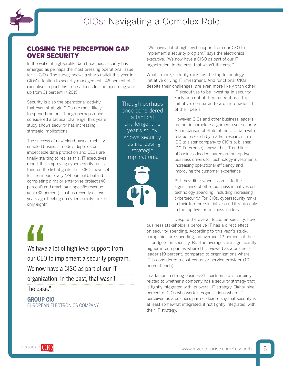

# CLOSING THE PERCEPTION GAP OVER SECURITY

In the wake of high-profile data breaches, security has emerged as perhaps the most pressing operational issue for all CIOs. The survey shows a sharp uptick this year in CIOs' attention to security management—46 percent of IT executives report this to be a focus for the upcoming year, up from 31 percent in 2015.

Security is also the operational activity that even strategic CIOs are most likely to spend time on. Though perhaps once considered a tactical challenge, this years' study shows security has increasing strategic implications.

The success of new cloud-based, mobilityenabled business models depends on impeccable data protection and CEOs are finally starting to realize this. IT executives report that improving cybersecurity ranks third on the list of goals their CEOs have set for them personally (29 percent), behind completing a major enterprise project (40 percent) and reaching a specific revenue goal (32 percent). Just as recently as two years ago, beefing up cybersecurity ranked only eighth.

Though perhaps once considered a tactical challenge, this year's study shows security has increasing strategic implications.



"We have a lot of high level support from our CEO to implement a security program," says the electronics executive. "We now have a CISO as part of our IT organization. In the past, that wasn't the case."

What's more, security ranks as the top technology initiative driving IT investment. And functional CIOs, despite their challenges, are even more likely than other

> IT executives to be investing in security. Forty percent of them cited it as a top IT initiative, compared to around one-fourth of their peers.

However, CIOs and other business leaders are not in complete alignment over security. A comparison of State of the CIO data with related research by market research firm IDC (a sister company to CIO's publisher, IDG Enterprise), shows that IT and line of business leaders agree on the top two business drivers for technology investments: increasing operational efficiency and improving the customer experience.

But they differ when it comes to the significance of other business initiatives on technology spending, including increasing cybersecurity. For CIOs, cybersecurity ranks in their top three initiatives and it ranks only in the top five for business leaders.

Despite the overall focus on security, how business stakeholders perceive IT has a direct effect on security spending. According to this year's study, companies are spending, on average, 12 percent of their IT budgets on security. But the averages are significantly higher in companies where IT is viewed as a business leader (19 percent) compared to organizations where IT is considered a cost center or service provider (10 percent each).

In addition, a strong business/IT partnership is certainly related to whether a company has a security strategy that is tightly integrated with its overall IT strategy. Eighty-nine percent of CIOs who work in organizations where IT is perceived as a business partner/leader say that security is at least somewhat integrated, if not tightly integrated, with their IT strategy.

We have a lot of high level support from our CEO to implement a security program. We now have a CISO as part of our IT organization. In the past, that wasn't We have<br>
our CEO<br>
We now I<br>
organiza<br>
the case

the case."

## **GROUP CIO** EUROPEAN ELECTRONICS COMPANY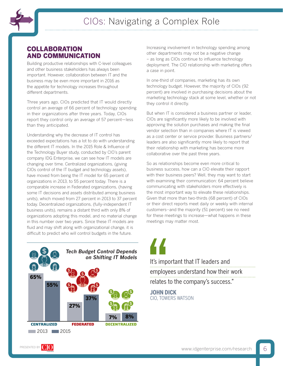

# COLLABORATION AND COMMUNICATION

Building productive relationships with C-level colleagues and other business stakeholders has always been important. However, collaboration between IT and the business may be even more important in 2016 as the appetite for technology increases throughout different departments.

Three years ago, CIOs predicted that IT would directly control an average of 66 percent of technology spending in their organizations after three years. Today, CIOs report they control only an average of 57 percent—less than they anticipated.

Understanding why the decrease of IT control has exceeded expectations has a lot to do with understanding the different IT models. In the 2015 Role & Influence of the Technology Buyer study, conducted by CIO's parent company IDG Enterprise, we can see how IT models are changing over time. Centralized organizations, (giving CIOs control of the IT budget and technology assets), have moved from being the IT model for 65 percent of organizations in 2013, to 55 percent today. There is a comparable increase in Federated organizations, (having some IT decisions and assets distributed among business units), which moved from 27 percent in 2013 to 37 percent today. Decentralized organizations, (fully-independent IT business units), remains a distant third with only 8% of organizations adopting this model, and no material change in this number over two years. Since these IT models are fluid and may shift along with organizational change, it is difficult to predict who will control budgets in the future.



Increasing involvement in technology spending among other departments may not be a negative change – as long as CIOs continue to influence technology deployment. The CIO relationship with marketing offers a case in point.

In one-third of companies, marketing has its own technology budget. However, the majority of CIOs (92 percent) are involved in purchasing decisions about the marketing technology stack at some level, whether or not they control it directly.

But when IT is considered a business partner or leader, CIOs are significantly more likely to be involved with approving the solution purchases and making the final vendor selection than in companies where IT is viewed as a cost center or service provider. Business partners/ leaders are also significantly more likely to report that their relationship with marketing has become more collaborative over the past three years.

So as relationships become even more critical to business success, how can a CIO elevate their rapport with their business peers? Well, they may want to start with examining their communication: 64 percent believe communicating with stakeholders more effectively is the most important way to elevate these relationships. Given that more than two-thirds (68 percent) of CIOs or their direct reports meet daily or weekly with internal customers--and the majority (51 percent) see no need for these meetings to increase—what happens in these meetings may matter most.

*on Shifting IT Models* It's important that IT leaders and employees understand how their work relates to the company's success." It's impo<br>
employe<br>
relates to<br>
JOHN DIO<br>
CIO, TOWE

**JOHN DICK** CIO, TOWERS WATSON

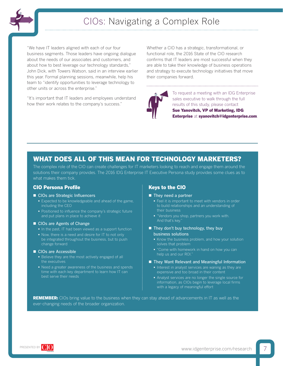

"We have IT leaders aligned with each of our four business segments. Those leaders have ongoing dialogue about the needs of our associates and customers, and about how to best leverage our technology standards," John Dick, with Towers Watson, said in an interview earlier this year. Formal planning sessions, meanwhile, help his team to "identify opportunities to leverage technology to other units or across the enterprise."

"It's important that IT leaders and employees understand how their work relates to the company's success."

Whether a CIO has a strategic, transformational, or functional role, the 2016 State of the CIO research confirms that IT leaders are most successful when they are able to take their knowledge of business operations and strategy to execute technology initiatives that move their companies forward.



To request a meeting with an IDG Enterprise sales executive to walk through the full results of this study, please contact Sue Yanovitch, VP of Marketing, IDG Enterprise at [syanovitch@idgenterprise.com](mailto:syanovitch%40idgenterprise.com?subject=2016%20State%20of%20the%20CIO%20Survey).

# WHAT DOES ALL OF THIS MEAN FOR TECHNOLOGY MARKETERS?

The complex role of the CIO can create challenges for IT marketers looking to reach and engage them around the solutions their company provides. The 2016 IDG Enterprise IT Executive Persona study provides some clues as to what makes them tick.

#### CIO Persona Profile

- CIOs are Strategic Influencers
	- **Expected to be knowledgeable and ahead of the game,** including the CEO
	- **Positioned to influence the company's strategic future** and put plans in place to achieve it

#### CIOs are Agents of Change

- In the past, IT had been viewed as a support function
- Now, there is a need and desire for IT to not only be integrated throughout the business, but to push change forward

#### CIOs are Accessible

- **Believe they are the most actively engaged of all**
- Need a greater awareness of the business and spends time with each key department to learn how IT can best serve their needs

#### Keys to the CIO

- They need a partner
	- Feel it is important to meet with vendors in order to build relationships and an understanding of their business
	- "Vendors you shop, partners you work with. And that's key."
- They don't buy technology, they buy business solutions
	- Know the business problem, and how your solution solves that problem
	- "Come with homework in hand on how you can help us and our ROI."
- They Want Relevant and Meaningful Information
	- Interest in analyst services are waning as they are expensive and too broad in their content
	- Analyst services are no longer the single source for information, as CIOs begin to leverage local firms with a legacy of meaningful effort

REMEMBER: CIOs bring value to the business when they can stay ahead of advancements in IT as well as the ever-changing needs of the broader organization.